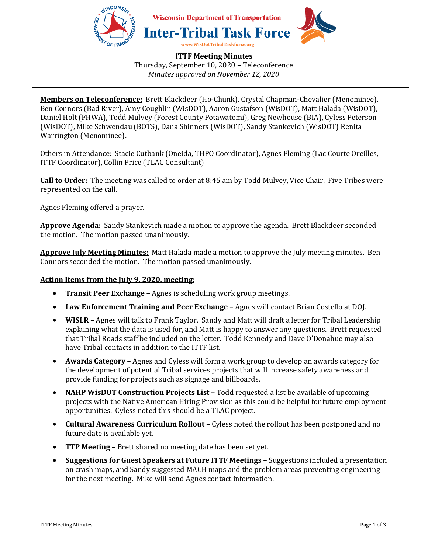

**ITTF Meeting Minutes**  Thursday, September 10, 2020 – Teleconference *Minutes approved on November 12, 2020* 

**Members on Teleconference:** Brett Blackdeer (Ho-Chunk), Crystal Chapman-Chevalier (Menominee), Ben Connors (Bad River), Amy Coughlin (WisDOT), Aaron Gustafson (WisDOT), Matt Halada (WisDOT), Daniel Holt (FHWA), Todd Mulvey (Forest County Potawatomi), Greg Newhouse (BIA), Cyless Peterson (WisDOT), Mike Schwendau (BOTS), Dana Shinners (WisDOT), Sandy Stankevich (WisDOT) Renita Warrington (Menominee).

Others in Attendance: Stacie Cutbank (Oneida, THPO Coordinator), Agnes Fleming (Lac Courte Oreilles, ITTF Coordinator), Collin Price (TLAC Consultant)

**Call to Order:** The meeting was called to order at 8:45 am by Todd Mulvey, Vice Chair. Five Tribes were represented on the call.

Agnes Fleming offered a prayer.

**Approve Agenda:** Sandy Stankevich made a motion to approve the agenda. Brett Blackdeer seconded the motion. The motion passed unanimously.

**Approve July Meeting Minutes:** Matt Halada made a motion to approve the July meeting minutes. Ben Connors seconded the motion. The motion passed unanimously.

### **Action Items from the July 9, 2020, meeting:**

- **Transit Peer Exchange –** Agnes is scheduling work group meetings.
- **Law Enforcement Training and Peer Exchange –** Agnes will contact Brian Costello at DOJ.
- **WISLR** Agnes will talk to Frank Taylor. Sandy and Matt will draft a letter for Tribal Leadership explaining what the data is used for, and Matt is happy to answer any questions. Brett requested that Tribal Roads staff be included on the letter. Todd Kennedy and Dave O'Donahue may also have Tribal contacts in addition to the ITTF list.
- **Awards Category –** Agnes and Cyless will form a work group to develop an awards category for the development of potential Tribal services projects that will increase safety awareness and provide funding for projects such as signage and billboards.
- **NAHP WisDOT Construction Projects List –** Todd requested a list be available of upcoming projects with the Native American Hiring Provision as this could be helpful for future employment opportunities. Cyless noted this should be a TLAC project.
- **Cultural Awareness Curriculum Rollout** Cyless noted the rollout has been postponed and no future date is available yet.
- **TTP Meeting –** Brett shared no meeting date has been set yet.
- **Suggestions for Guest Speakers at Future ITTF Meetings –** Suggestions included a presentation on crash maps, and Sandy suggested MACH maps and the problem areas preventing engineering for the next meeting. Mike will send Agnes contact information.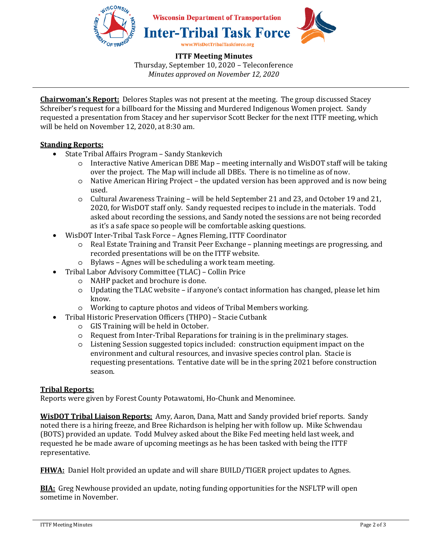

**ITTF Meeting Minutes** 

Thursday, September 10, 2020 – Teleconference *Minutes approved on November 12, 2020* 

**Chairwoman's Report:** Delores Staples was not present at the meeting. The group discussed Stacey Schreiber's request for a billboard for the Missing and Murdered Indigenous Women project. Sandy requested a presentation from Stacey and her supervisor Scott Becker for the next ITTF meeting, which will be held on November 12, 2020, at 8:30 am.

# **Standing Reports:**

- State Tribal Affairs Program Sandy Stankevich
	- o Interactive Native American DBE Map meeting internally and WisDOT staff will be taking over the project. The Map will include all DBEs. There is no timeline as of now.
	- o Native American Hiring Project the updated version has been approved and is now being used.
	- o Cultural Awareness Training will be held September 21 and 23, and October 19 and 21, 2020, for WisDOT staff only. Sandy requested recipes to include in the materials. Todd asked about recording the sessions, and Sandy noted the sessions are not being recorded as it's a safe space so people will be comfortable asking questions.
- WisDOT Inter-Tribal Task Force Agnes Fleming, ITTF Coordinator
	- o Real Estate Training and Transit Peer Exchange planning meetings are progressing, and recorded presentations will be on the ITTF website.
	- o Bylaws Agnes will be scheduling a work team meeting.
- Tribal Labor Advisory Committee (TLAC) Collin Price
	- o NAHP packet and brochure is done.
	- o Updating the TLAC website if anyone's contact information has changed, please let him know.
	- o Working to capture photos and videos of Tribal Members working.
- Tribal Historic Preservation Officers (THPO) Stacie Cutbank
	- o GIS Training will be held in October.
	- o Request from Inter-Tribal Reparations for training is in the preliminary stages.
	- o Listening Session suggested topics included: construction equipment impact on the environment and cultural resources, and invasive species control plan. Stacie is requesting presentations. Tentative date will be in the spring 2021 before construction season.

# **Tribal Reports:**

Reports were given by Forest County Potawatomi, Ho-Chunk and Menominee.

**WisDOT Tribal Liaison Reports:** Amy, Aaron, Dana, Matt and Sandy provided brief reports. Sandy noted there is a hiring freeze, and Bree Richardson is helping her with follow up. Mike Schwendau (BOTS) provided an update. Todd Mulvey asked about the Bike Fed meeting held last week, and requested he be made aware of upcoming meetings as he has been tasked with being the ITTF representative.

**FHWA:** Daniel Holt provided an update and will share BUILD/TIGER project updates to Agnes.

**BIA:** Greg Newhouse provided an update, noting funding opportunities for the NSFLTP will open sometime in November.